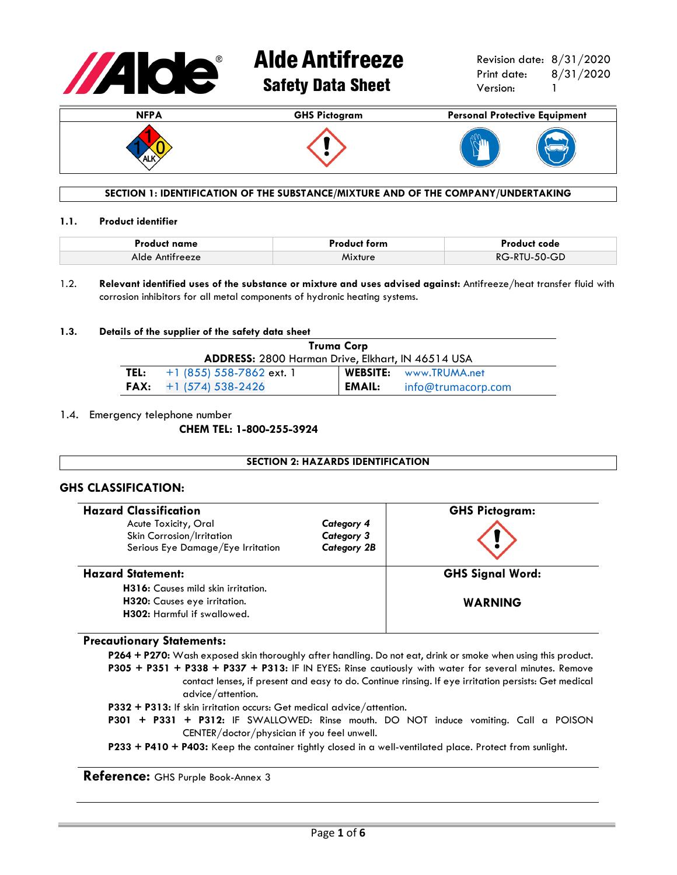

# **Alde Antifreeze** Safety Data Sheet

Revision date: 8/31/2020 Print date: 8/31/2020 Version: 1



# **SECTION 1: IDENTIFICATION OF THE SUBSTANCE/MIXTURE AND OF THE COMPANY/UNDERTAKING**

### **1.1. Product identifier**

| <b>Product name</b> | <b>Product form</b> | Product code |
|---------------------|---------------------|--------------|
| Alde Antifreeze     | Mixture             | RG-RTU-50-GD |

1.2. **Relevant identified uses of the substance or mixture and uses advised against:** Antifreeze/heat transfer fluid with corrosion inhibitors for all metal components of hydronic heating systems.

# **1.3. Details of the supplier of the safety data sheet**

| Truma Corp                                               |                                 |        |                               |
|----------------------------------------------------------|---------------------------------|--------|-------------------------------|
| <b>ADDRESS: 2800 Harman Drive, Elkhart, IN 46514 USA</b> |                                 |        |                               |
| TEL:                                                     | +1 (855) 558-7862 ext. 1        |        | <b>WEBSITE:</b> www.TRUMA.net |
|                                                          | <b>FAX:</b> $+1$ (574) 538-2426 | EMAIL: | info@trumacorp.com            |

# 1.4. Emergency telephone number

**CHEM TEL: 1-800-255-3924**

# **SECTION 2: HAZARDS IDENTIFICATION**

# **GHS CLASSIFICATION:**

| <b>Hazard Classification</b>                                                                      |                                                       | <b>GHS Pictogram:</b>   |
|---------------------------------------------------------------------------------------------------|-------------------------------------------------------|-------------------------|
| Acute Toxicity, Oral<br>Skin Corrosion/Irritation<br>Serious Eye Damage/Eye Irritation            | Category 4<br><b>Category 3</b><br><b>Category 2B</b> |                         |
| <b>Hazard Statement:</b>                                                                          |                                                       | <b>GHS Signal Word:</b> |
| H316: Causes mild skin irritation.<br>H320: Causes eye irritation.<br>H302: Harmful if swallowed. |                                                       | <b>WARNING</b>          |

# **Precautionary Statements:**

**P264 + P270:** Wash exposed skin thoroughly after handling. Do not eat, drink or smoke when using this product. **P305 + P351 + P338 + P337 + P313:** IF IN EYES: Rinse cautiously with water for several minutes. Remove contact lenses, if present and easy to do. Continue rinsing. If eye irritation persists: Get medical advice/attention.

- **P332 + P313:** If skin irritation occurs: Get medical advice/attention.
- **P301 + P331 + P312:** IF SWALLOWED: Rinse mouth. DO NOT induce vomiting. Call a POISON CENTER/doctor/physician if you feel unwell.
- **P233 + P410 + P403:** Keep the container tightly closed in a well-ventilated place. Protect from sunlight.

**Reference:** GHS Purple Book-Annex 3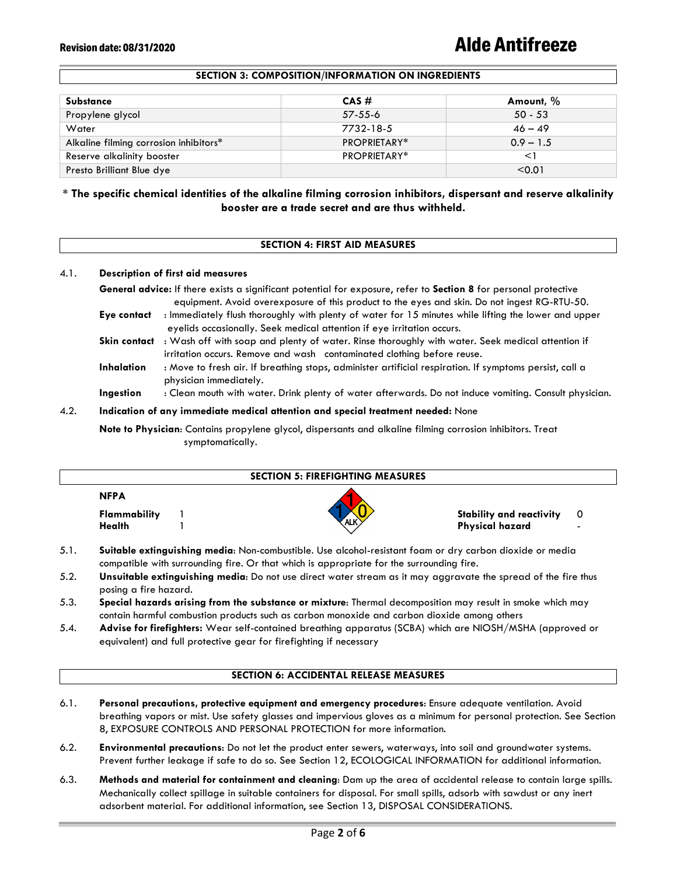# Revision date: 08/31/2020 **Alde Antifreeze**

# **SECTION 3: COMPOSITION/INFORMATION ON INGREDIENTS**

| Substance                              | $CAS \#$            | Amount, %   |
|----------------------------------------|---------------------|-------------|
| Propylene glycol                       | $57 - 55 - 6$       | $50 - 53$   |
| Water                                  | 7732-18-5           | $46 - 49$   |
| Alkaline filming corrosion inhibitors* | <b>PROPRIETARY*</b> | $0.9 - 1.5$ |
| Reserve alkalinity booster             | PROPRIETARY*        |             |
| Presto Brilliant Blue dye              |                     | < 0.01      |

# **\* The specific chemical identities of the alkaline filming corrosion inhibitors, dispersant and reserve alkalinity booster are a trade secret and are thus withheld.**

# **SECTION 4: FIRST AID MEASURES**

# 4.1. **Description of first aid measures**

**General advice:** If there exists a significant potential for exposure, refer to **Section 8** for personal protective equipment. Avoid overexposure of this product to the eyes and skin. Do not ingest RG-RTU-50. **Eye contact** : Immediately flush thoroughly with plenty of water for 15 minutes while lifting the lower and upper eyelids occasionally. Seek medical attention if eye irritation occurs. **Skin contact** : Wash off with soap and plenty of water. Rinse thoroughly with water. Seek medical attention if irritation occurs. Remove and wash contaminated clothing before reuse. **Inhalation** : Move to fresh air. If breathing stops, administer artificial respiration. If symptoms persist, call a physician immediately.

**Ingestion** : Clean mouth with water. Drink plenty of water afterwards. Do not induce vomiting. Consult physician.

### 4.2. **Indication of any immediate medical attention and special treatment needed:** None

**Note to Physician**: Contains propylene glycol, dispersants and alkaline filming corrosion inhibitors. Treat symptomatically.

| <b>SECTION 5: FIREFIGHTING MEASURES</b> |  |     |                                                    |                                 |
|-----------------------------------------|--|-----|----------------------------------------------------|---------------------------------|
| <b>NFPA</b><br>Flammability<br>Health   |  | ALK | <b>Stability and reactivity</b><br>Physical hazard | - 0<br>$\overline{\phantom{0}}$ |

- 5.1. **Suitable extinguishing media**: Non-combustible. Use alcohol-resistant foam or dry carbon dioxide or media compatible with surrounding fire. Or that which is appropriate for the surrounding fire.
- 5.2. **Unsuitable extinguishing media**: Do not use direct water stream as it may aggravate the spread of the fire thus posing a fire hazard.
- 5.3. **Special hazards arising from the substance or mixture**: Thermal decomposition may result in smoke which may contain harmful combustion products such as carbon monoxide and carbon dioxide among others
- 5.4. **Advise for firefighters:** Wear self-contained breathing apparatus (SCBA) which are NIOSH/MSHA (approved or equivalent) and full protective gear for firefighting if necessary

# **SECTION 6: ACCIDENTAL RELEASE MEASURES**

- 6.1. **Personal precautions, protective equipment and emergency procedures**: Ensure adequate ventilation. Avoid breathing vapors or mist. Use safety glasses and impervious gloves as a minimum for personal protection. See Section 8, EXPOSURE CONTROLS AND PERSONAL PROTECTION for more information.
- 6.2. **Environmental precautions**: Do not let the product enter sewers, waterways, into soil and groundwater systems. Prevent further leakage if safe to do so. See Section 12, ECOLOGICAL INFORMATION for additional information.
- 6.3. **Methods and material for containment and cleaning**: Dam up the area of accidental release to contain large spills. Mechanically collect spillage in suitable containers for disposal. For small spills, adsorb with sawdust or any inert adsorbent material. For additional information, see Section 13, DISPOSAL CONSIDERATIONS.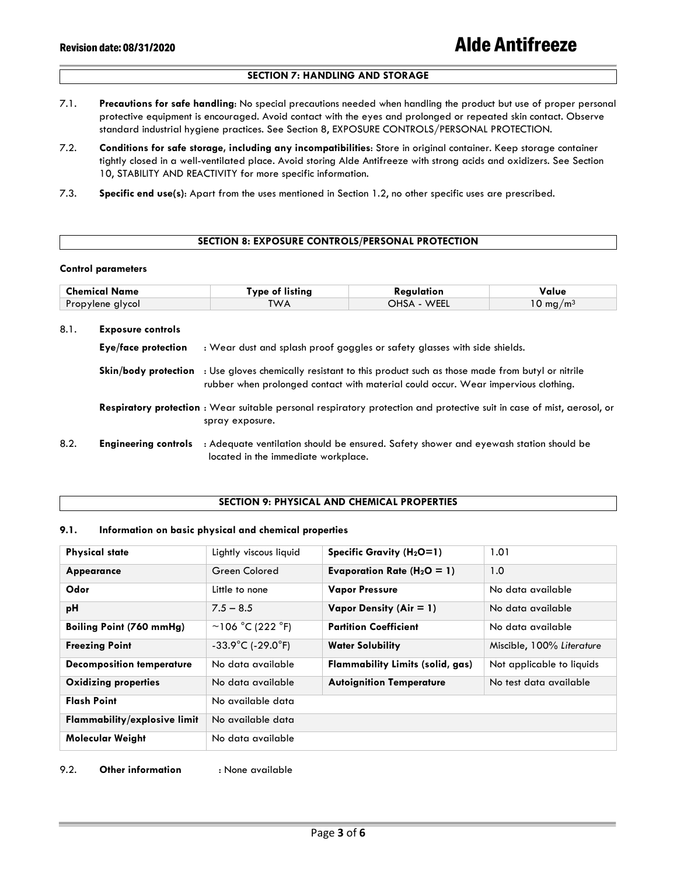# **SECTION 7: HANDLING AND STORAGE**

- 7.1. **Precautions for safe handling**: No special precautions needed when handling the product but use of proper personal protective equipment is encouraged. Avoid contact with the eyes and prolonged or repeated skin contact. Observe standard industrial hygiene practices. See Section 8, EXPOSURE CONTROLS/PERSONAL PROTECTION.
- 7.2. **Conditions for safe storage, including any incompatibilities**: Store in original container. Keep storage container tightly closed in a well-ventilated place. Avoid storing Alde Antifreeze with strong acids and oxidizers. See Section 10, STABILITY AND REACTIVITY for more specific information.
- 7.3. **Specific end use(s)**: Apart from the uses mentioned in Section 1.2, no other specific uses are prescribed.

### **SECTION 8: EXPOSURE CONTROLS/PERSONAL PROTECTION**

### **Control parameters**

| <b>Chemical Name</b> | <b>Type of listing</b> | Regulation  | Value                   |
|----------------------|------------------------|-------------|-------------------------|
| Propylene glycol     | TWA                    | OHSA - WEEL | $10 \; \mathrm{mq/m^3}$ |
|                      |                        |             |                         |

| 8.1. | <b>Exposure controls</b>    |                                                                                                                                                                                                              |
|------|-----------------------------|--------------------------------------------------------------------------------------------------------------------------------------------------------------------------------------------------------------|
|      | Eye/face protection         | : Wear dust and splash proof goggles or safety glasses with side shields.                                                                                                                                    |
|      |                             | <b>Skin/body protection</b> : Use gloves chemically resistant to this product such as those made from butyl or nitrile<br>rubber when prolonged contact with material could occur. Wear impervious clothing. |
|      |                             | Respiratory protection: Wear suitable personal respiratory protection and protective suit in case of mist, aerosol, or<br>spray exposure.                                                                    |
| 8.2. | <b>Engineering controls</b> | : Adequate ventilation should be ensured. Safety shower and eyewash station should be<br>located in the immediate workplace.                                                                                 |

# **SECTION 9: PHYSICAL AND CHEMICAL PROPERTIES**

# **9.1. Information on basic physical and chemical properties**

| <b>Physical state</b>               | Lightly viscous liquid                 | Specific Gravity $(H_2O=1)$      | 1.01                      |
|-------------------------------------|----------------------------------------|----------------------------------|---------------------------|
| Appearance                          | Green Colored                          | Evaporation Rate ( $H_2O = 1$ )  | 1.0                       |
| Odor                                | Little to none                         | <b>Vapor Pressure</b>            | No data available         |
| рH                                  | $7.5 - 8.5$                            | Vapor Density (Air = $1$ )       | No data available         |
| <b>Boiling Point (760 mmHg)</b>     | $~106$ °C (222 °F)                     | <b>Partition Coefficient</b>     | No data available         |
| <b>Freezing Point</b>               | $-33.9^{\circ}$ C (-29.0 $^{\circ}$ F) | <b>Water Solubility</b>          | Miscible, 100% Literature |
| <b>Decomposition temperature</b>    | No data available                      | Flammability Limits (solid, gas) | Not applicable to liquids |
| <b>Oxidizing properties</b>         | No data available                      | <b>Autoignition Temperature</b>  | No test data available    |
| <b>Flash Point</b>                  | No available data                      |                                  |                           |
| <b>Flammability/explosive limit</b> | No available data                      |                                  |                           |
| Molecular Weight                    | No data available                      |                                  |                           |

## 9.2. **Other information** : None available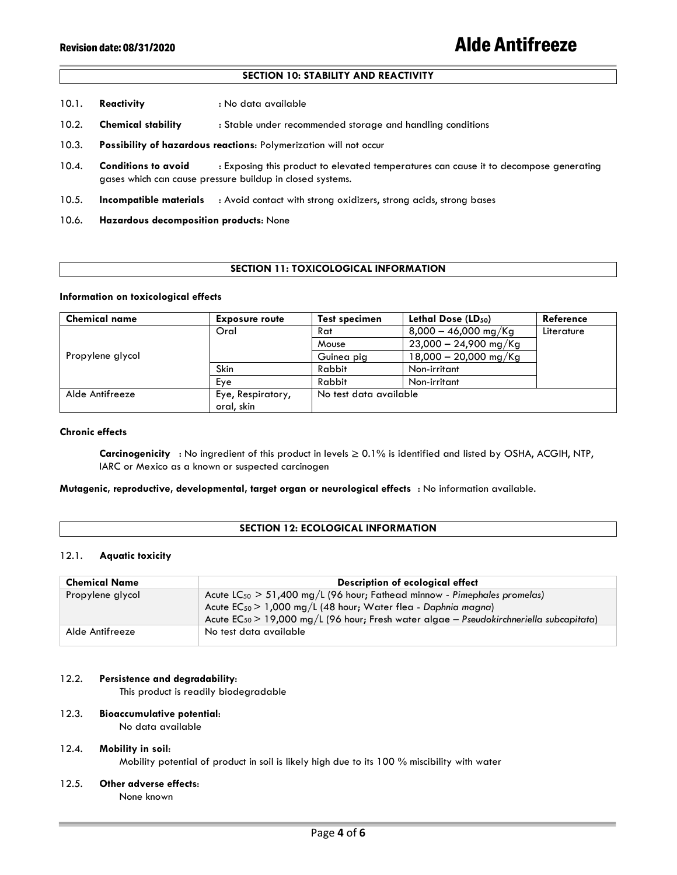# **SECTION 10: STABILITY AND REACTIVITY**

- 10.1. **Reactivity** : No data available
- 10.2. **Chemical stability** : Stable under recommended storage and handling conditions
- 10.3. **Possibility of hazardous reactions**: Polymerization will not occur
- 10.4. **Conditions to avoid** : Exposing this product to elevated temperatures can cause it to decompose generating gases which can cause pressure buildup in closed systems.
- 10.5. **Incompatible materials** : Avoid contact with strong oxidizers, strong acids, strong bases
- 10.6. **Hazardous decomposition products**: None

# **SECTION 11: TOXICOLOGICAL INFORMATION**

### **Information on toxicological effects**

| <b>Chemical name</b> | <b>Exposure route</b> | <b>Test specimen</b>   | Lethal Dose (LD <sub>50</sub> ) | Reference  |
|----------------------|-----------------------|------------------------|---------------------------------|------------|
|                      | Oral                  | Rat                    | $8,000 - 46,000$ mg/Kg          | Literature |
|                      |                       | Mouse                  | $23,000 - 24,900$ mg/Kg         |            |
| Propylene glycol     |                       | Guinea pig             | $18,000 - 20,000$ mg/Kg         |            |
|                      | Skin                  | Rabbit                 | Non-irritant                    |            |
|                      | Eye                   | Rabbit                 | Non-irritant                    |            |
| Alde Antifreeze      | Eye, Respiratory,     | No test data available |                                 |            |
|                      | oral, skin            |                        |                                 |            |

### **Chronic effects**

**Carcinogenicity** : No ingredient of this product in levels ≥ 0.1% is identified and listed by OSHA, ACGIH, NTP, IARC or Mexico as a known or suspected carcinogen

# **Mutagenic, reproductive, developmental, target organ or neurological effects** : No information available.

### **SECTION 12: ECOLOGICAL INFORMATION**

### 12.1. **Aquatic toxicity**

| <b>Chemical Name</b> | Description of ecological effect                                                             |
|----------------------|----------------------------------------------------------------------------------------------|
| Propylene glycol     | Acute $LC_{50} > 51,400$ mg/L (96 hour; Fathead minnow - Pimephales promelas)                |
|                      | Acute $EC_{50}$ > 1,000 mg/L (48 hour; Water flea - Daphnia magna)                           |
|                      | Acute $EC_{50}$ > 19,000 mg/L (96 hour; Fresh water algae - Pseudokirchneriella subcapitata) |
| Alde Antifreeze      | No test data available                                                                       |

### 12.2. **Persistence and degradability**:

This product is readily biodegradable

# 12.3. **Bioaccumulative potential**:

No data available

# 12.4. **Mobility in soil**:

Mobility potential of product in soil is likely high due to its 100 % miscibility with water

12.5. **Other adverse effects**:

None known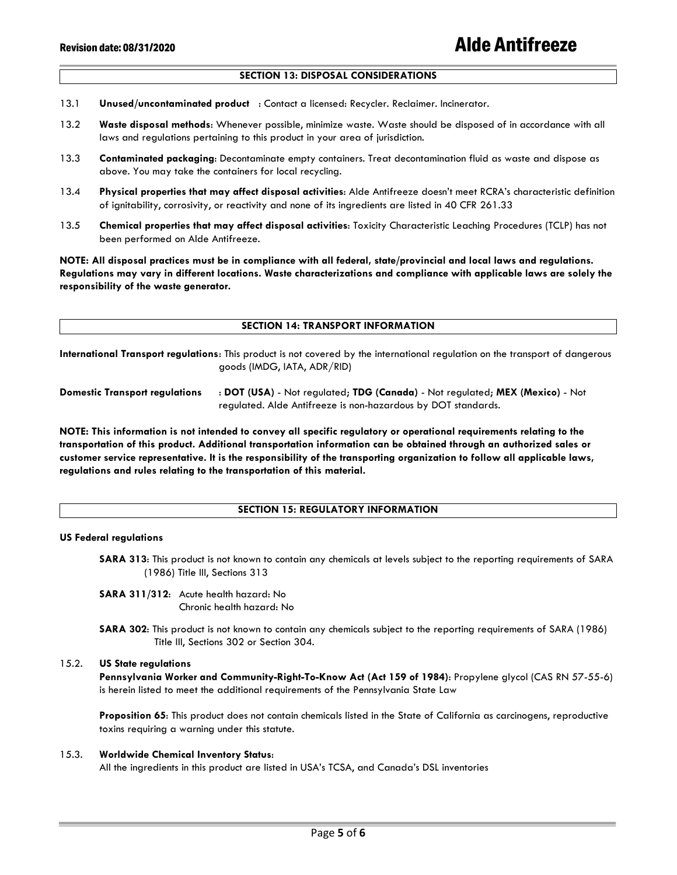# **SECTION 13: DISPOSAL CONSIDERATIONS**

- 13.1 **Unused/uncontaminated product** : Contact a licensed: Recycler. Reclaimer. Incinerator.
- 13.2 **Waste disposal methods**: Whenever possible, minimize waste. Waste should be disposed of in accordance with all laws and regulations pertaining to this product in your area of jurisdiction.
- 13.3 **Contaminated packaging**: Decontaminate empty containers. Treat decontamination fluid as waste and dispose as above. You may take the containers for local recycling.
- 13.4 **Physical properties that may affect disposal activities**: Alde Antifreeze doesn't meet RCRA's characteristic definition of ignitability, corrosivity, or reactivity and none of its ingredients are listed in 40 CFR 261.33
- 13.5 **Chemical properties that may affect disposal activities**: Toxicity Characteristic Leaching Procedures (TCLP) has not been performed on Alde Antifreeze.

**NOTE: All disposal practices must be in compliance with all federal, state/provincial and local laws and regulations. Regulations may vary in different locations. Waste characterizations and compliance with applicable laws are solely the responsibility of the waste generator.**

### **SECTION 14: TRANSPORT INFORMATION**

**International Transport regulations**: This product is not covered by the international regulation on the transport of dangerous goods (IMDG, IATA, ADR/RID)

**Domestic Transport regulations** : **DOT (USA)** - Not regulated; **TDG (Canada)** - Not regulated; **MEX (Mexico)** - Not regulated. Alde Antifreeze is non-hazardous by DOT standards.

**NOTE: This information is not intended to convey all specific regulatory or operational requirements relating to the transportation of this product. Additional transportation information can be obtained through an authorized sales or customer service representative. It is the responsibility of the transporting organization to follow all applicable laws, regulations and rules relating to the transportation of this material.**

### **SECTION 15: REGULATORY INFORMATION**

### **US Federal regulations**

**SARA 313**: This product is not known to contain any chemicals at levels subject to the reporting requirements of SARA (1986) Title III, Sections 313

**SARA 311/312**: Acute health hazard: No Chronic health hazard: No

**SARA 302**: This product is not known to contain any chemicals subject to the reporting requirements of SARA (1986) Title III, Sections 302 or Section 304.

# 15.2. **US State regulations**

**Pennsylvania Worker and Community-Right-To-Know Act (Act 159 of 1984)**: Propylene glycol (CAS RN 57-55-6) is herein listed to meet the additional requirements of the Pennsylvania State Law

**Proposition 65**: This product does not contain chemicals listed in the State of California as carcinogens, reproductive toxins requiring a warning under this statute.

# 15.3. **Worldwide Chemical Inventory Status**:

All the ingredients in this product are listed in USA's TCSA, and Canada's DSL inventories